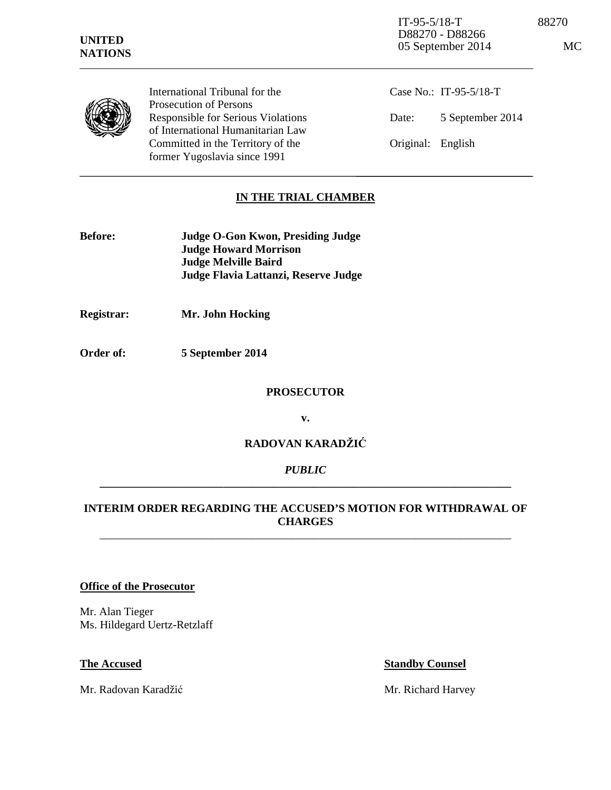| <b>UNITED</b><br><b>NATIONS</b> |                                                                                | $IT-95-5/18-T$<br>D88270 - D88266<br>05 September 2014 |                        | 88270<br>MC |
|---------------------------------|--------------------------------------------------------------------------------|--------------------------------------------------------|------------------------|-------------|
|                                 | International Tribunal for the<br>Prosecution of Persons                       |                                                        | Case No.: IT-95-5/18-T |             |
|                                 | <b>Responsible for Serious Violations</b><br>of International Humanitarian Law | Date:                                                  | 5 September 2014       |             |
|                                 | Committed in the Territory of the<br>former Yugoslavia since 1991              | Original:                                              | English                |             |

# **IN THE TRIAL CHAMBER**

| <b>Before:</b> | Judge O-Gon Kwon, Presiding Judge    |
|----------------|--------------------------------------|
|                | <b>Judge Howard Morrison</b>         |
|                | <b>Judge Melville Baird</b>          |
|                | Judge Flavia Lattanzi, Reserve Judge |

**Registrar: Mr. John Hocking** 

**Order of: 5 September 2014** 

### **PROSECUTOR**

**v.** 

# **RADOVAN KARADŽIĆ**

## *PUBLIC*  **\_\_\_\_\_\_\_\_\_\_\_\_\_\_\_\_\_\_\_\_\_\_\_\_\_\_\_\_\_\_\_\_\_\_\_\_\_\_\_\_\_\_\_\_\_\_\_\_\_\_\_\_\_\_\_\_\_\_\_\_\_\_\_\_\_\_\_\_\_\_\_\_\_**

## **INTERIM ORDER REGARDING THE ACCUSED'S MOTION FOR WITHDRAWAL OF CHARGES** \_\_\_\_\_\_\_\_\_\_\_\_\_\_\_\_\_\_\_\_\_\_\_\_\_\_\_\_\_\_\_\_\_\_\_\_\_\_\_\_\_\_\_\_\_\_\_\_\_\_\_\_\_\_\_\_\_\_\_\_\_\_\_\_\_\_\_\_\_\_\_\_\_

### **Office of the Prosecutor**

Mr. Alan Tieger Ms. Hildegard Uertz-Retzlaff

Mr. Radovan Karadžić Mr. Richard Harvey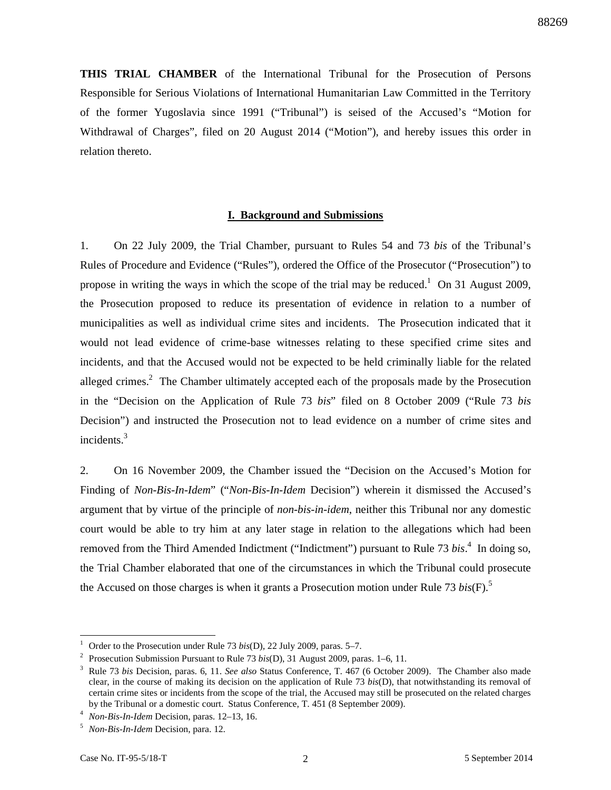**THIS TRIAL CHAMBER** of the International Tribunal for the Prosecution of Persons Responsible for Serious Violations of International Humanitarian Law Committed in the Territory of the former Yugoslavia since 1991 ("Tribunal") is seised of the Accused's "Motion for Withdrawal of Charges", filed on 20 August 2014 ("Motion"), and hereby issues this order in relation thereto.

### **I. Background and Submissions**

1. On 22 July 2009, the Trial Chamber, pursuant to Rules 54 and 73 *bis* of the Tribunal's Rules of Procedure and Evidence ("Rules"), ordered the Office of the Prosecutor ("Prosecution") to propose in writing the ways in which the scope of the trial may be reduced.<sup>1</sup> On 31 August 2009, the Prosecution proposed to reduce its presentation of evidence in relation to a number of municipalities as well as individual crime sites and incidents. The Prosecution indicated that it would not lead evidence of crime-base witnesses relating to these specified crime sites and incidents, and that the Accused would not be expected to be held criminally liable for the related alleged crimes.<sup>2</sup> The Chamber ultimately accepted each of the proposals made by the Prosecution in the "Decision on the Application of Rule 73 *bis*" filed on 8 October 2009 ("Rule 73 *bis*  Decision") and instructed the Prosecution not to lead evidence on a number of crime sites and incidents.<sup>3</sup>

2. On 16 November 2009, the Chamber issued the "Decision on the Accused's Motion for Finding of *Non-Bis-In-Idem*" ("*Non-Bis-In-Idem* Decision") wherein it dismissed the Accused's argument that by virtue of the principle of *non-bis-in-idem*, neither this Tribunal nor any domestic court would be able to try him at any later stage in relation to the allegations which had been removed from the Third Amended Indictment ("Indictment") pursuant to Rule 73 *bis*.<sup>4</sup> In doing so, the Trial Chamber elaborated that one of the circumstances in which the Tribunal could prosecute the Accused on those charges is when it grants a Prosecution motion under Rule 73 *bis*(F).<sup>5</sup>

l

<sup>1</sup> Order to the Prosecution under Rule 73 *bis*(D), 22 July 2009, paras. 5–7.

<sup>2</sup> Prosecution Submission Pursuant to Rule 73 *bis*(D), 31 August 2009, paras. 1–6, 11.

<sup>3</sup> Rule 73 *bis* Decision, paras. 6, 11. *See also* Status Conference, T. 467 (6 October 2009). The Chamber also made clear, in the course of making its decision on the application of Rule 73 *bis*(D), that notwithstanding its removal of certain crime sites or incidents from the scope of the trial, the Accused may still be prosecuted on the related charges by the Tribunal or a domestic court. Status Conference, T. 451 (8 September 2009).

<sup>4</sup> *Non-Bis-In-Idem* Decision, paras. 12–13, 16.

<sup>5</sup> *Non-Bis-In-Idem* Decision, para. 12.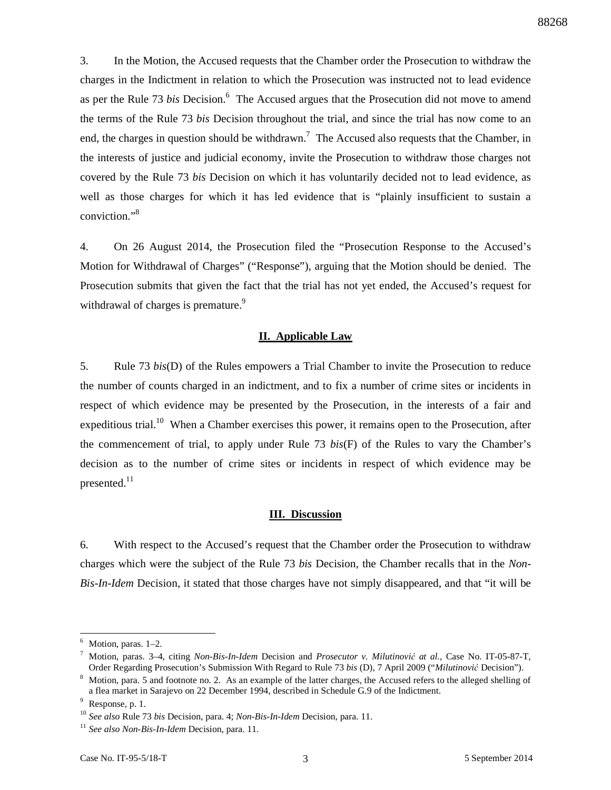3. In the Motion, the Accused requests that the Chamber order the Prosecution to withdraw the charges in the Indictment in relation to which the Prosecution was instructed not to lead evidence as per the Rule 73 *bis* Decision.<sup>6</sup> The Accused argues that the Prosecution did not move to amend the terms of the Rule 73 *bis* Decision throughout the trial, and since the trial has now come to an end, the charges in question should be withdrawn.<sup>7</sup> The Accused also requests that the Chamber, in the interests of justice and judicial economy, invite the Prosecution to withdraw those charges not covered by the Rule 73 *bis* Decision on which it has voluntarily decided not to lead evidence, as well as those charges for which it has led evidence that is "plainly insufficient to sustain a conviction."<sup>8</sup>

4. On 26 August 2014, the Prosecution filed the "Prosecution Response to the Accused's Motion for Withdrawal of Charges" ("Response"), arguing that the Motion should be denied. The Prosecution submits that given the fact that the trial has not yet ended, the Accused's request for withdrawal of charges is premature.<sup>9</sup>

### **II. Applicable Law**

5. Rule 73 *bis*(D) of the Rules empowers a Trial Chamber to invite the Prosecution to reduce the number of counts charged in an indictment, and to fix a number of crime sites or incidents in respect of which evidence may be presented by the Prosecution, in the interests of a fair and expeditious trial.<sup>10</sup> When a Chamber exercises this power, it remains open to the Prosecution, after the commencement of trial, to apply under Rule 73 *bis*(F) of the Rules to vary the Chamber's decision as to the number of crime sites or incidents in respect of which evidence may be presented.<sup>11</sup>

### **III. Discussion**

6. With respect to the Accused's request that the Chamber order the Prosecution to withdraw charges which were the subject of the Rule 73 *bis* Decision, the Chamber recalls that in the *Non-Bis-In-Idem* Decision, it stated that those charges have not simply disappeared, and that "it will be

l

<sup>6</sup> Motion, paras. 1–2.

<sup>7</sup> Motion, paras. 3–4, citing *Non-Bis-In-Idem* Decision and *Prosecutor v. Milutinović at al.*, Case No. IT-05-87-T, Order Regarding Prosecution's Submission With Regard to Rule 73 *bis* (D), 7 April 2009 ("*Milutinović* Decision").

<sup>&</sup>lt;sup>8</sup> Motion, para. 5 and footnote no. 2. As an example of the latter charges, the Accused refers to the alleged shelling of a flea market in Sarajevo on 22 December 1994, described in Schedule G.9 of the Indictment.

 $9$  Response, p. 1.

<sup>10</sup> *See also* Rule 73 *bis* Decision, para. 4; *Non-Bis-In-Idem* Decision, para. 11.

<sup>&</sup>lt;sup>11</sup> See also Non-Bis-In-Idem Decision, para. 11.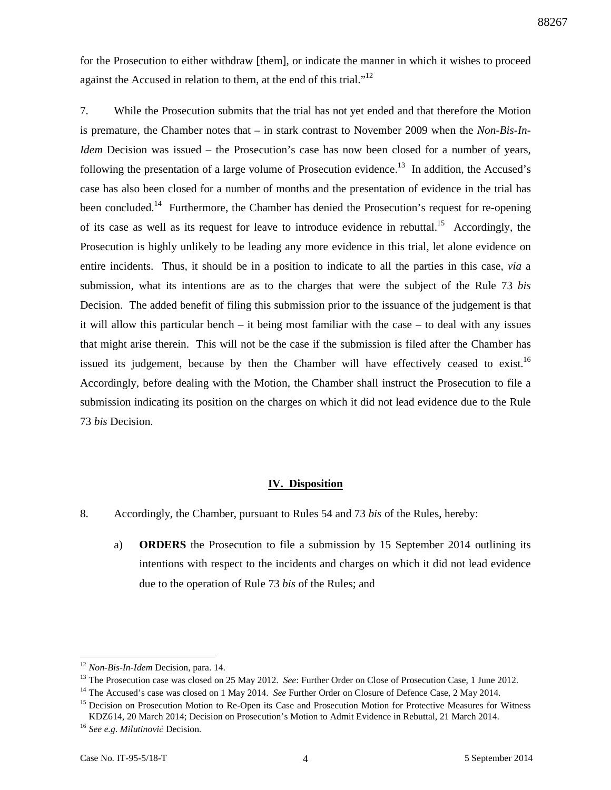for the Prosecution to either withdraw [them], or indicate the manner in which it wishes to proceed against the Accused in relation to them, at the end of this trial."<sup>12</sup>

7. While the Prosecution submits that the trial has not yet ended and that therefore the Motion is premature, the Chamber notes that – in stark contrast to November 2009 when the *Non-Bis-In-Idem* Decision was issued – the Prosecution's case has now been closed for a number of years, following the presentation of a large volume of Prosecution evidence.<sup>13</sup> In addition, the Accused's case has also been closed for a number of months and the presentation of evidence in the trial has been concluded.<sup>14</sup> Furthermore, the Chamber has denied the Prosecution's request for re-opening of its case as well as its request for leave to introduce evidence in rebuttal.<sup>15</sup> Accordingly, the Prosecution is highly unlikely to be leading any more evidence in this trial, let alone evidence on entire incidents. Thus, it should be in a position to indicate to all the parties in this case, *via* a submission, what its intentions are as to the charges that were the subject of the Rule 73 *bis*  Decision. The added benefit of filing this submission prior to the issuance of the judgement is that it will allow this particular bench – it being most familiar with the case – to deal with any issues that might arise therein. This will not be the case if the submission is filed after the Chamber has issued its judgement, because by then the Chamber will have effectively ceased to exist.<sup>16</sup> Accordingly, before dealing with the Motion, the Chamber shall instruct the Prosecution to file a submission indicating its position on the charges on which it did not lead evidence due to the Rule 73 *bis* Decision.

# **IV. Disposition**

- 8. Accordingly, the Chamber, pursuant to Rules 54 and 73 *bis* of the Rules, hereby:
	- a) **ORDERS** the Prosecution to file a submission by 15 September 2014 outlining its intentions with respect to the incidents and charges on which it did not lead evidence due to the operation of Rule 73 *bis* of the Rules; and

l

<sup>12</sup> *Non-Bis-In-Idem* Decision, para. 14.

<sup>&</sup>lt;sup>13</sup> The Prosecution case was closed on 25 May 2012. *See*: Further Order on Close of Prosecution Case, 1 June 2012.

<sup>14</sup> The Accused's case was closed on 1 May 2014. *See* Further Order on Closure of Defence Case, 2 May 2014.

<sup>&</sup>lt;sup>15</sup> Decision on Prosecution Motion to Re-Open its Case and Prosecution Motion for Protective Measures for Witness KDZ614, 20 March 2014; Decision on Prosecution's Motion to Admit Evidence in Rebuttal, 21 March 2014.

<sup>16</sup> *See e.g*. *Milutinović* Decision.